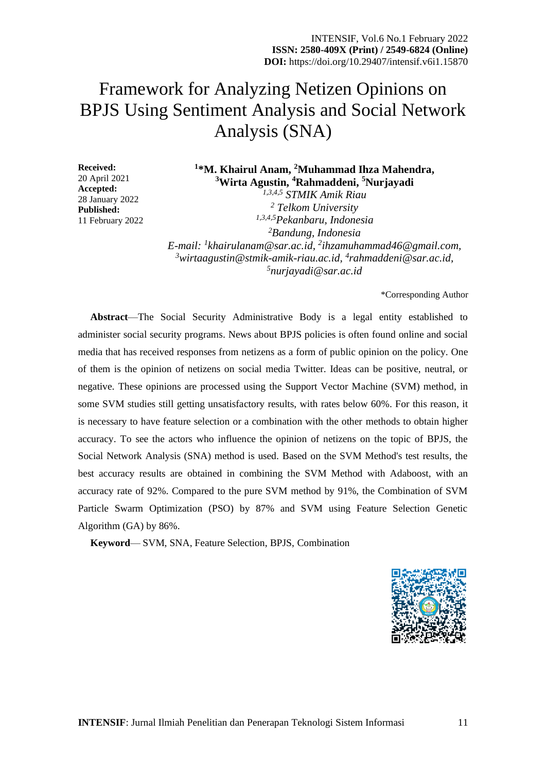# Framework for Analyzing Netizen Opinions on BPJS Using Sentiment Analysis and Social Network Analysis (SNA)

**Received:** 20 April 2021 **Accepted:** 28 January 2022 **Published:** 11 February 2022

## **1 \*M. Khairul Anam, <sup>2</sup>Muhammad Ihza Mahendra, <sup>3</sup>Wirta Agustin, <sup>4</sup>Rahmaddeni, <sup>5</sup>Nurjayadi** *1,3,4,5 STMIK Amik Riau*

 *Telkom University 1,3,4,5Pekanbaru, Indonesia Bandung, Indonesia E-mail: <sup>1</sup> khairulanam@sar.ac.id, <sup>2</sup> ihzamuhammad46@gmail.com, wirtaagustin@stmik-amik-riau.ac.id, 4 rahmaddeni@sar.ac.id, nurjayadi@sar.ac.id*

\*Corresponding Author

**Abstract**—The Social Security Administrative Body is a legal entity established to administer social security programs. News about BPJS policies is often found online and social media that has received responses from netizens as a form of public opinion on the policy. One of them is the opinion of netizens on social media Twitter. Ideas can be positive, neutral, or negative. These opinions are processed using the Support Vector Machine (SVM) method, in some SVM studies still getting unsatisfactory results, with rates below 60%. For this reason, it is necessary to have feature selection or a combination with the other methods to obtain higher accuracy. To see the actors who influence the opinion of netizens on the topic of BPJS, the Social Network Analysis (SNA) method is used. Based on the SVM Method's test results, the best accuracy results are obtained in combining the SVM Method with Adaboost, with an accuracy rate of 92%. Compared to the pure SVM method by 91%, the Combination of SVM Particle Swarm Optimization (PSO) by 87% and SVM using Feature Selection Genetic Algorithm (GA) by 86%.

**Keyword**— SVM, SNA, Feature Selection, BPJS, Combination

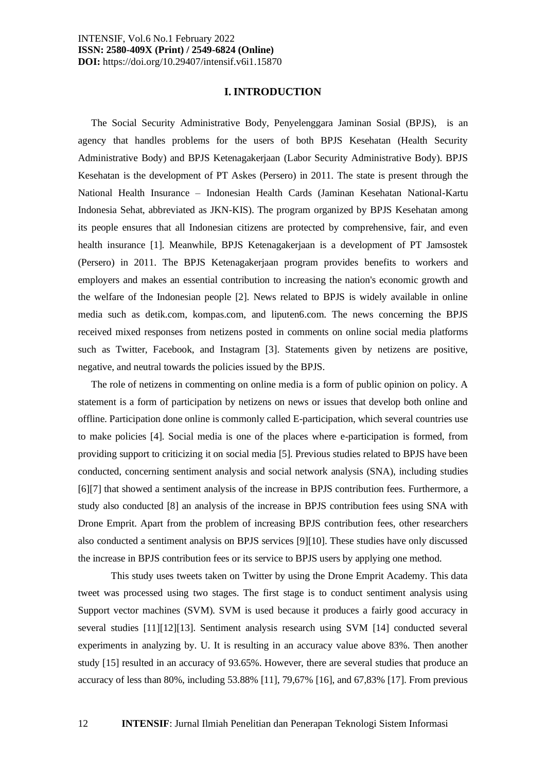#### **I. INTRODUCTION**

The Social Security Administrative Body, Penyelenggara Jaminan Sosial (BPJS), is an agency that handles problems for the users of both BPJS Kesehatan (Health Security Administrative Body) and BPJS Ketenagakerjaan (Labor Security Administrative Body). BPJS Kesehatan is the development of PT Askes (Persero) in 2011. The state is present through the National Health Insurance – Indonesian Health Cards (Jaminan Kesehatan National-Kartu Indonesia Sehat, abbreviated as JKN-KIS). The program organized by BPJS Kesehatan among its people ensures that all Indonesian citizens are protected by comprehensive, fair, and even health insurance [1]. Meanwhile, BPJS Ketenagakerjaan is a development of PT Jamsostek (Persero) in 2011. The BPJS Ketenagakerjaan program provides benefits to workers and employers and makes an essential contribution to increasing the nation's economic growth and the welfare of the Indonesian people [2]. News related to BPJS is widely available in online media such as detik.com, kompas.com, and liputen6.com. The news concerning the BPJS received mixed responses from netizens posted in comments on online social media platforms such as Twitter, Facebook, and Instagram [3]. Statements given by netizens are positive, negative, and neutral towards the policies issued by the BPJS.

The role of netizens in commenting on online media is a form of public opinion on policy. A statement is a form of participation by netizens on news or issues that develop both online and offline. Participation done online is commonly called E-participation, which several countries use to make policies [4]. Social media is one of the places where e-participation is formed, from providing support to criticizing it on social media [5]. Previous studies related to BPJS have been conducted, concerning sentiment analysis and social network analysis (SNA), including studies [6][7] that showed a sentiment analysis of the increase in BPJS contribution fees. Furthermore, a study also conducted [8] an analysis of the increase in BPJS contribution fees using SNA with Drone Emprit. Apart from the problem of increasing BPJS contribution fees, other researchers also conducted a sentiment analysis on BPJS services [9][10]. These studies have only discussed the increase in BPJS contribution fees or its service to BPJS users by applying one method.

This study uses tweets taken on Twitter by using the Drone Emprit Academy. This data tweet was processed using two stages. The first stage is to conduct sentiment analysis using Support vector machines (SVM). SVM is used because it produces a fairly good accuracy in several studies [11][12][13]. Sentiment analysis research using SVM [14] conducted several experiments in analyzing by. U. It is resulting in an accuracy value above 83%. Then another study [15] resulted in an accuracy of 93.65%. However, there are several studies that produce an accuracy of less than 80%, including 53.88% [11], 79,67% [16], and 67,83% [17]. From previous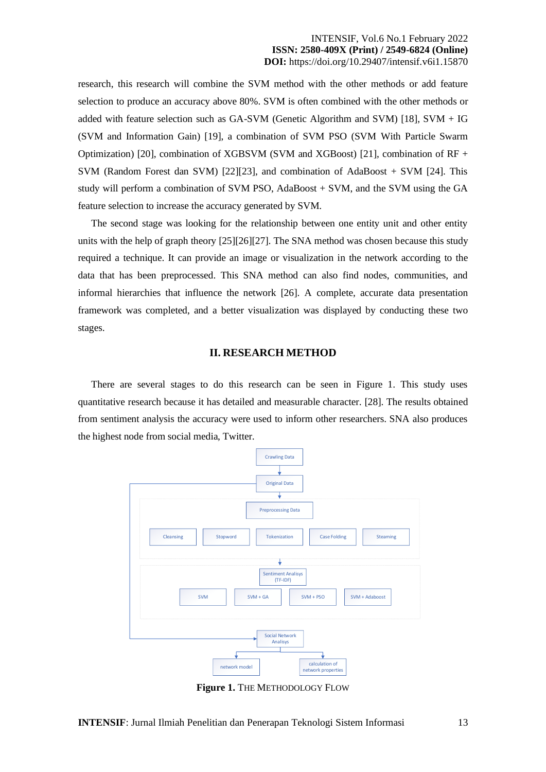research, this research will combine the SVM method with the other methods or add feature selection to produce an accuracy above 80%. SVM is often combined with the other methods or added with feature selection such as GA-SVM (Genetic Algorithm and SVM) [18], SVM + IG (SVM and Information Gain) [19], a combination of SVM PSO (SVM With Particle Swarm Optimization) [20], combination of XGBSVM (SVM and XGBoost) [21], combination of RF + SVM (Random Forest dan SVM) [22][23], and combination of AdaBoost + SVM [24]. This study will perform a combination of SVM PSO, AdaBoost + SVM, and the SVM using the GA feature selection to increase the accuracy generated by SVM.

The second stage was looking for the relationship between one entity unit and other entity units with the help of graph theory [25][26][27]. The SNA method was chosen because this study required a technique. It can provide an image or visualization in the network according to the data that has been preprocessed. This SNA method can also find nodes, communities, and informal hierarchies that influence the network [26]. A complete, accurate data presentation framework was completed, and a better visualization was displayed by conducting these two stages.

#### **II. RESEARCH METHOD**

There are several stages to do this research can be seen in Figure 1. This study uses quantitative research because it has detailed and measurable character. [28]. The results obtained from sentiment analysis the accuracy were used to inform other researchers. SNA also produces the highest node from social media, Twitter.



**Figure 1.** THE METHODOLOGY FLOW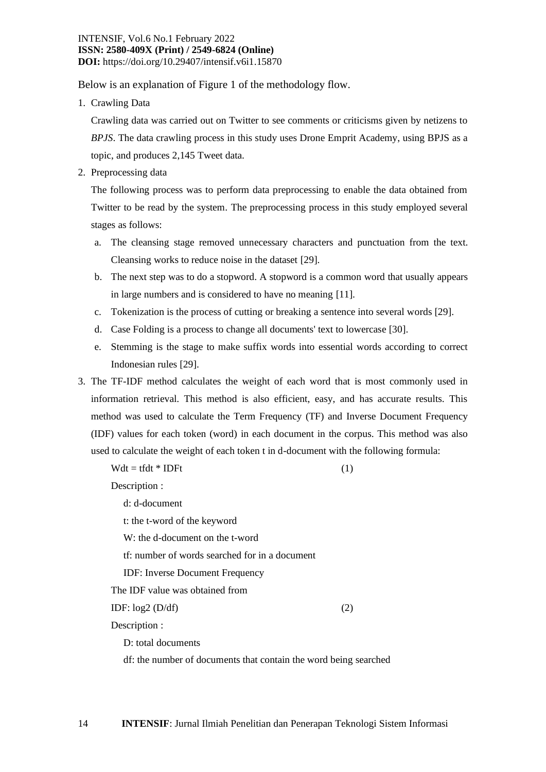Below is an explanation of Figure 1 of the methodology flow.

1. Crawling Data

Crawling data was carried out on Twitter to see comments or criticisms given by netizens to *BPJS*. The data crawling process in this study uses Drone Emprit Academy, using BPJS as a topic, and produces 2,145 Tweet data.

2. Preprocessing data

The following process was to perform data preprocessing to enable the data obtained from Twitter to be read by the system. The preprocessing process in this study employed several stages as follows:

- a. The cleansing stage removed unnecessary characters and punctuation from the text. Cleansing works to reduce noise in the dataset [29].
- b. The next step was to do a stopword. A stopword is a common word that usually appears in large numbers and is considered to have no meaning [11].
- c. Tokenization is the process of cutting or breaking a sentence into several words [29].
- d. Case Folding is a process to change all documents' text to lowercase [30].
- e. Stemming is the stage to make suffix words into essential words according to correct Indonesian rules [29].
- 3. The TF-IDF method calculates the weight of each word that is most commonly used in information retrieval. This method is also efficient, easy, and has accurate results. This method was used to calculate the Term Frequency (TF) and Inverse Document Frequency (IDF) values for each token (word) in each document in the corpus. This method was also used to calculate the weight of each token t in d-document with the following formula:

 $Wdt = tfdt * IDFt$  (1)

Description :

d: d-document

t: the t-word of the keyword

W: the d-document on the t-word

tf: number of words searched for in a document

IDF: Inverse Document Frequency

The IDF value was obtained from

IDF:  $log2 (D/df)$  (2)

Description :

D: total documents

df: the number of documents that contain the word being searched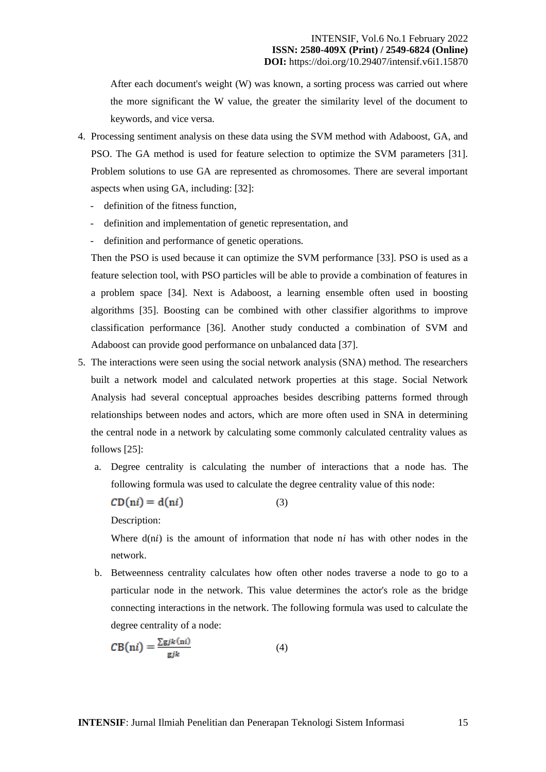After each document's weight (W) was known, a sorting process was carried out where the more significant the W value, the greater the similarity level of the document to keywords, and vice versa.

- 4. Processing sentiment analysis on these data using the SVM method with Adaboost, GA, and PSO. The GA method is used for feature selection to optimize the SVM parameters [31]. Problem solutions to use GA are represented as chromosomes. There are several important aspects when using GA, including: [32]:
	- definition of the fitness function,
	- definition and implementation of genetic representation, and
	- definition and performance of genetic operations.

Then the PSO is used because it can optimize the SVM performance [33]. PSO is used as a feature selection tool, with PSO particles will be able to provide a combination of features in a problem space [34]. Next is Adaboost, a learning ensemble often used in boosting algorithms [35]. Boosting can be combined with other classifier algorithms to improve classification performance [36]. Another study conducted a combination of SVM and Adaboost can provide good performance on unbalanced data [37].

- 5. The interactions were seen using the social network analysis (SNA) method. The researchers built a network model and calculated network properties at this stage. Social Network Analysis had several conceptual approaches besides describing patterns formed through relationships between nodes and actors, which are more often used in SNA in determining the central node in a network by calculating some commonly calculated centrality values as follows [25]:
	- a. Degree centrality is calculating the number of interactions that a node has. The following formula was used to calculate the degree centrality value of this node:

(3)

 $CD(ni) = d(ni)$ 

Description:

Where  $d(n)$  is the amount of information that node  $ni$  has with other nodes in the network.

b. Betweenness centrality calculates how often other nodes traverse a node to go to a particular node in the network. This value determines the actor's role as the bridge connecting interactions in the network. The following formula was used to calculate the degree centrality of a node:

$$
CB(ni) = \frac{\sum gjk(ni)}{gjk}
$$
 (4)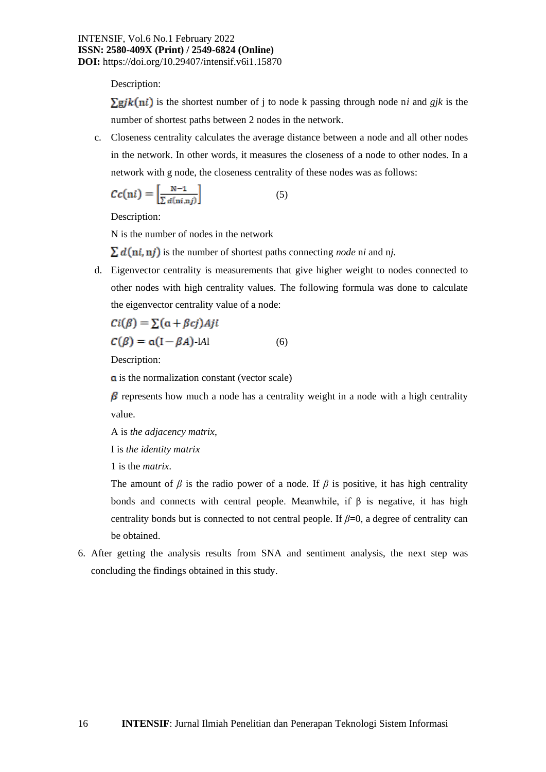Description:

 $\sum gjk(ni)$  is the shortest number of j to node k passing through node n*i* and *gik* is the number of shortest paths between 2 nodes in the network.

c. Closeness centrality calculates the average distance between a node and all other nodes in the network. In other words, it measures the closeness of a node to other nodes. In a network with g node, the closeness centrality of these nodes was as follows:

$$
Cc(ni) = \left[\frac{N-1}{\sum d(ni,nj)}\right]
$$
 (5)

Description:

N is the number of nodes in the network

 $\sum d(n_i, n_j)$  is the number of shortest paths connecting *node* ni and nj.

d. Eigenvector centrality is measurements that give higher weight to nodes connected to other nodes with high centrality values. The following formula was done to calculate the eigenvector centrality value of a node:

$$
Ci(\beta) = \sum (\alpha + \beta c j) Aji
$$
  
\n
$$
C(\beta) = \alpha (I - \beta A) - IAI
$$
 (6)

Description:

**a** is the normalization constant (vector scale)

 $\beta$  represents how much a node has a centrality weight in a node with a high centrality value.

A is *the adjacency matrix*,

I is *the identity matrix*

1 is the *matrix*.

The amount of  $\beta$  is the radio power of a node. If  $\beta$  is positive, it has high centrality bonds and connects with central people. Meanwhile, if  $\beta$  is negative, it has high centrality bonds but is connected to not central people. If  $\beta=0$ , a degree of centrality can be obtained.

6. After getting the analysis results from SNA and sentiment analysis, the next step was concluding the findings obtained in this study.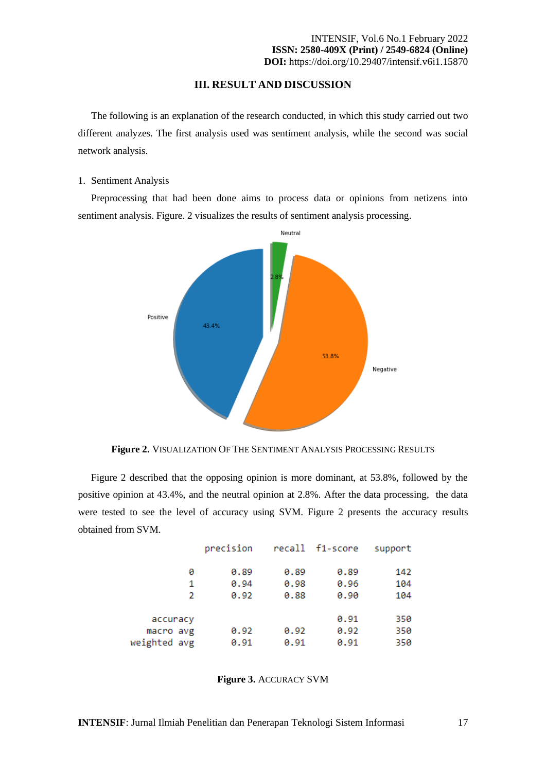### **III. RESULT AND DISCUSSION**

The following is an explanation of the research conducted, in which this study carried out two different analyzes. The first analysis used was sentiment analysis, while the second was social network analysis.

#### 1. Sentiment Analysis

Preprocessing that had been done aims to process data or opinions from netizens into sentiment analysis. Figure. 2 visualizes the results of sentiment analysis processing.



**Figure 2.** VISUALIZATION OF THE SENTIMENT ANALYSIS PROCESSING RESULTS

Figure 2 described that the opposing opinion is more dominant, at 53.8%, followed by the positive opinion at 43.4%, and the neutral opinion at 2.8%. After the data processing, the data were tested to see the level of accuracy using SVM. Figure 2 presents the accuracy results obtained from SVM.

|              |   | precision |      | recall f1-score | support |
|--------------|---|-----------|------|-----------------|---------|
|              | ø | 0.89      | 0.89 | 0.89            | 142     |
|              | 1 | 0.94      | 0.98 | 0.96            | 104     |
|              | 2 | 0.92      | 0.88 | 0.90            | 104     |
| accuracy     |   |           |      | 0.91            | 350     |
| macro avg    |   | 0.92      | 0.92 | 0.92            | 350     |
| weighted avg |   | 0.91      | 0.91 | 0.91            | 350     |

**Figure 3.** ACCURACY SVM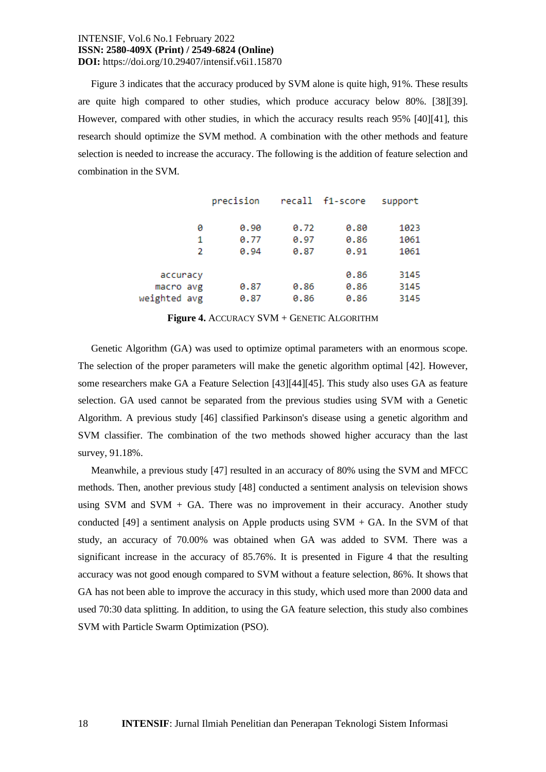Figure 3 indicates that the accuracy produced by SVM alone is quite high, 91%. These results are quite high compared to other studies, which produce accuracy below 80%. [38][39]. However, compared with other studies, in which the accuracy results reach 95% [40][41], this research should optimize the SVM method. A combination with the other methods and feature selection is needed to increase the accuracy. The following is the addition of feature selection and combination in the SVM.

|              | precision |      | recall f1-score | support |
|--------------|-----------|------|-----------------|---------|
| ø            | 0.90      | 0.72 | 0.80            | 1023    |
| 1            | 0.77      | 0.97 | 0.86            | 1061    |
| 2            | 0.94      | 0.87 | 0.91            | 1061    |
| accuracy     |           |      | 0.86            | 3145    |
| macro avg    | 0.87      | 0.86 | 0.86            | 3145    |
| weighted avg | 0.87      | 0.86 | 0.86            | 3145    |

**Figure 4.** ACCURACY SVM + GENETIC ALGORITHM

Genetic Algorithm (GA) was used to optimize optimal parameters with an enormous scope. The selection of the proper parameters will make the genetic algorithm optimal [42]. However, some researchers make GA a Feature Selection [43][44][45]. This study also uses GA as feature selection. GA used cannot be separated from the previous studies using SVM with a Genetic Algorithm. A previous study [46] classified Parkinson's disease using a genetic algorithm and SVM classifier. The combination of the two methods showed higher accuracy than the last survey, 91.18%.

Meanwhile, a previous study [47] resulted in an accuracy of 80% using the SVM and MFCC methods. Then, another previous study [48] conducted a sentiment analysis on television shows using SVM and SVM + GA. There was no improvement in their accuracy. Another study conducted [49] a sentiment analysis on Apple products using  $SVM + GA$ . In the SVM of that study, an accuracy of 70.00% was obtained when GA was added to SVM. There was a significant increase in the accuracy of 85.76%. It is presented in Figure 4 that the resulting accuracy was not good enough compared to SVM without a feature selection, 86%. It shows that GA has not been able to improve the accuracy in this study, which used more than 2000 data and used 70:30 data splitting. In addition, to using the GA feature selection, this study also combines SVM with Particle Swarm Optimization (PSO).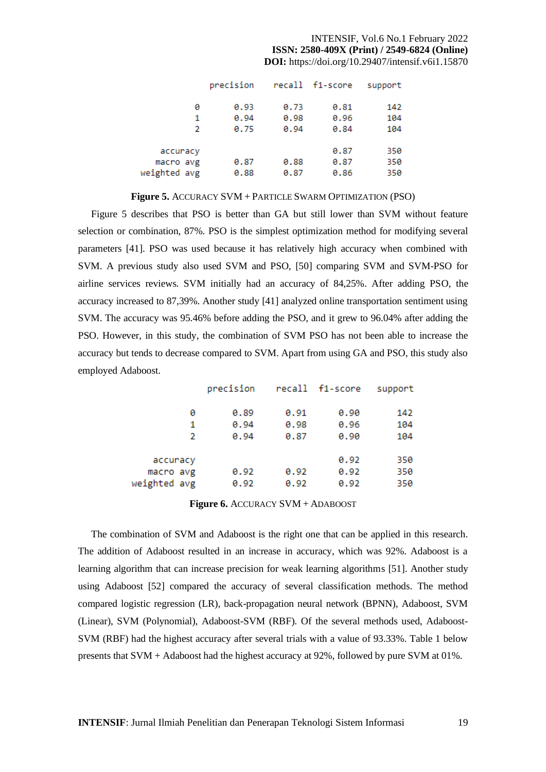|              |   | precision |      | recall f1-score | support |
|--------------|---|-----------|------|-----------------|---------|
|              | 0 | 0.93      | 0.73 | 0.81            | 142     |
|              | 1 | 0.94      | 0.98 | 0.96            | 104     |
|              | 2 | 0.75      | 0.94 | 0.84            | 104     |
| accuracy     |   |           |      | 0.87            | 350     |
| macro avg    |   | 0.87      | 0.88 | 0.87            | 350     |
| weighted avg |   | 0.88      | 0.87 | 0.86            | 350     |

#### **Figure 5.** ACCURACY SVM + PARTICLE SWARM OPTIMIZATION (PSO)

Figure 5 describes that PSO is better than GA but still lower than SVM without feature selection or combination, 87%. PSO is the simplest optimization method for modifying several parameters [41]. PSO was used because it has relatively high accuracy when combined with SVM. A previous study also used SVM and PSO, [50] comparing SVM and SVM-PSO for airline services reviews. SVM initially had an accuracy of 84,25%. After adding PSO, the accuracy increased to 87,39%. Another study [41] analyzed online transportation sentiment using SVM. The accuracy was 95.46% before adding the PSO, and it grew to 96.04% after adding the PSO. However, in this study, the combination of SVM PSO has not been able to increase the accuracy but tends to decrease compared to SVM. Apart from using GA and PSO, this study also employed Adaboost.

| support | recall f1-score |      | precision |              |
|---------|-----------------|------|-----------|--------------|
| 142     | 0.90            | 0.91 | 0.89      | 0            |
| 104     | 0.96            | 0.98 | 0.94      | 1            |
| 104     | 0.90            | 0.87 | 0.94      | 2            |
|         |                 |      |           |              |
| 350     | 0.92            |      |           | accuracy     |
| 350     | 0.92            | 0.92 | 0.92      | macro avg    |
| 350     | 0.92            | 0.92 | 0.92      | weighted avg |

#### **Figure 6.** ACCURACY SVM + ADABOOST

The combination of SVM and Adaboost is the right one that can be applied in this research. The addition of Adaboost resulted in an increase in accuracy, which was 92%. Adaboost is a learning algorithm that can increase precision for weak learning algorithms [51]. Another study using Adaboost [52] compared the accuracy of several classification methods. The method compared logistic regression (LR), back-propagation neural network (BPNN), Adaboost, SVM (Linear), SVM (Polynomial), Adaboost-SVM (RBF). Of the several methods used, Adaboost-SVM (RBF) had the highest accuracy after several trials with a value of 93.33%. Table 1 below presents that SVM + Adaboost had the highest accuracy at 92%, followed by pure SVM at 01%.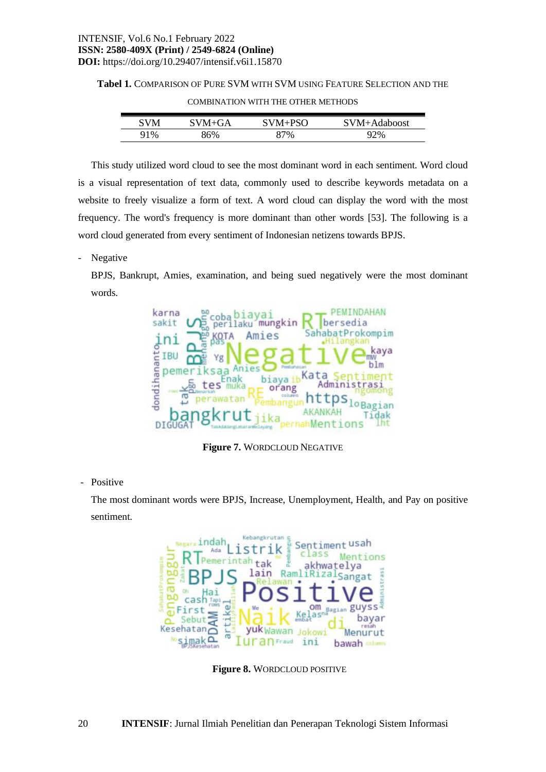#### **Tabel 1.** COMPARISON OF PURE SVM WITH SVM USING FEATURE SELECTION AND THE

| SVM | SVM+GA | SVM+PSO | SVM+Adaboost |
|-----|--------|---------|--------------|
| 91% | 6%     | ?7%     | 92%          |

COMBINATION WITH THE OTHER METHODS

This study utilized word cloud to see the most dominant word in each sentiment. Word cloud is a visual representation of text data, commonly used to describe keywords metadata on a website to freely visualize a form of text. A word cloud can display the word with the most frequency. The word's frequency is more dominant than other words [53]. The following is a word cloud generated from every sentiment of Indonesian netizens towards BPJS.

- Negative

BPJS, Bankrupt, Amies, examination, and being sued negatively were the most dominant words.



**Figure 7.** WORDCLOUD NEGATIVE

- Positive

The most dominant words were BPJS, Increase, Unemployment, Health, and Pay on positive sentiment.



**Figure 8.** WORDCLOUD POSITIVE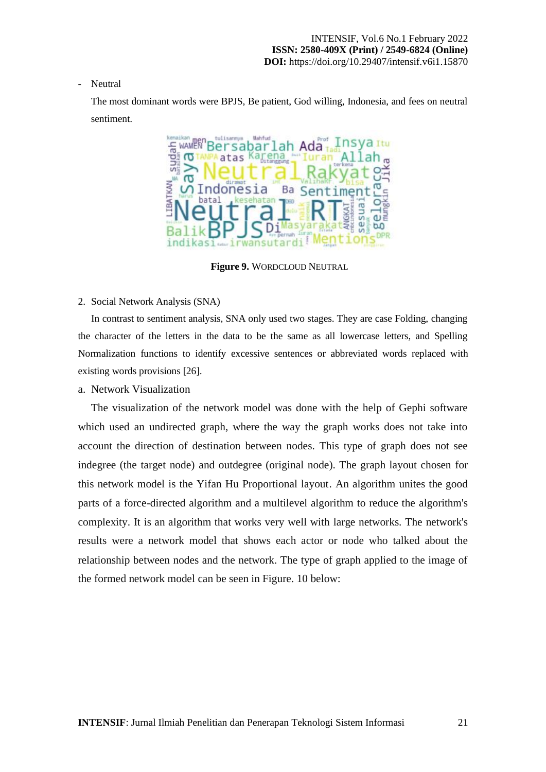#### - Neutral

The most dominant words were BPJS, Be patient, God willing, Indonesia, and fees on neutral sentiment.



**Figure 9.** WORDCLOUD NEUTRAL

#### 2. Social Network Analysis (SNA)

In contrast to sentiment analysis, SNA only used two stages. They are case Folding, changing the character of the letters in the data to be the same as all lowercase letters, and Spelling Normalization functions to identify excessive sentences or abbreviated words replaced with existing words provisions [26].

## a. Network Visualization

The visualization of the network model was done with the help of Gephi software which used an undirected graph, where the way the graph works does not take into account the direction of destination between nodes. This type of graph does not see indegree (the target node) and outdegree (original node). The graph layout chosen for this network model is the Yifan Hu Proportional layout. An algorithm unites the good parts of a force-directed algorithm and a multilevel algorithm to reduce the algorithm's complexity. It is an algorithm that works very well with large networks. The network's results were a network model that shows each actor or node who talked about the relationship between nodes and the network. The type of graph applied to the image of the formed network model can be seen in Figure. 10 below: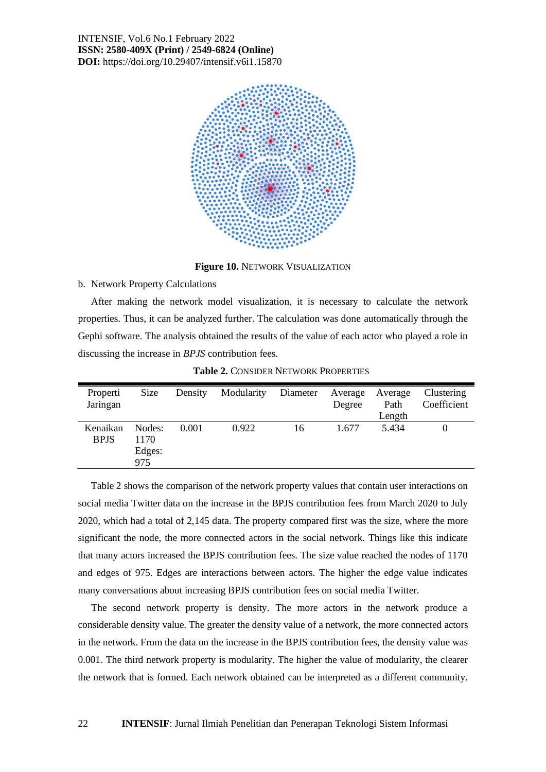

**Figure 10.** NETWORK VISUALIZATION

#### b. Network Property Calculations

After making the network model visualization, it is necessary to calculate the network properties. Thus, it can be analyzed further. The calculation was done automatically through the Gephi software. The analysis obtained the results of the value of each actor who played a role in discussing the increase in *BPJS* contribution fees.

| Properti<br>Jaringan    | Size                            | Density | Modularity | Diameter | Average<br>Degree | Average<br>Path<br>Length | Clustering<br>Coefficient |
|-------------------------|---------------------------------|---------|------------|----------|-------------------|---------------------------|---------------------------|
| Kenaikan<br><b>BPJS</b> | Nodes:<br>1170<br>Edges:<br>975 | 0.001   | 0.922      | 16       | 1.677             | 5.434                     | 0                         |

**Table 2.** CONSIDER NETWORK PROPERTIES

Table 2 shows the comparison of the network property values that contain user interactions on social media Twitter data on the increase in the BPJS contribution fees from March 2020 to July 2020, which had a total of 2,145 data. The property compared first was the size, where the more significant the node, the more connected actors in the social network. Things like this indicate that many actors increased the BPJS contribution fees. The size value reached the nodes of 1170 and edges of 975. Edges are interactions between actors. The higher the edge value indicates many conversations about increasing BPJS contribution fees on social media Twitter.

The second network property is density. The more actors in the network produce a considerable density value. The greater the density value of a network, the more connected actors in the network. From the data on the increase in the BPJS contribution fees, the density value was 0.001. The third network property is modularity. The higher the value of modularity, the clearer the network that is formed. Each network obtained can be interpreted as a different community.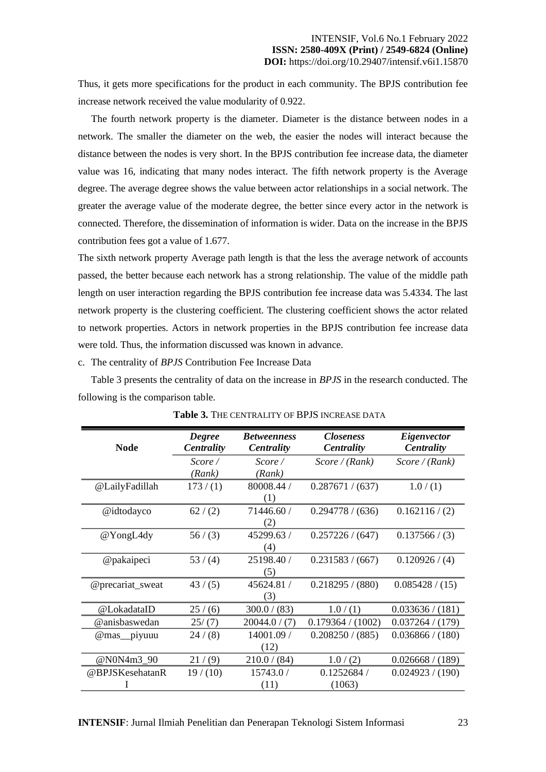Thus, it gets more specifications for the product in each community. The BPJS contribution fee increase network received the value modularity of 0.922.

The fourth network property is the diameter. Diameter is the distance between nodes in a network. The smaller the diameter on the web, the easier the nodes will interact because the distance between the nodes is very short. In the BPJS contribution fee increase data, the diameter value was 16, indicating that many nodes interact. The fifth network property is the Average degree. The average degree shows the value between actor relationships in a social network. The greater the average value of the moderate degree, the better since every actor in the network is connected. Therefore, the dissemination of information is wider. Data on the increase in the BPJS contribution fees got a value of 1.677.

The sixth network property Average path length is that the less the average network of accounts passed, the better because each network has a strong relationship. The value of the middle path length on user interaction regarding the BPJS contribution fee increase data was 5.4334. The last network property is the clustering coefficient. The clustering coefficient shows the actor related to network properties. Actors in network properties in the BPJS contribution fee increase data were told. Thus, the information discussed was known in advance.

c. The centrality of *BPJS* Contribution Fee Increase Data

Table 3 presents the centrality of data on the increase in *BPJS* in the research conducted. The following is the comparison table.

| <b>Node</b>      | <b>Degree</b><br><b>Centrality</b> | <b>Betweenness</b><br><b>Centrality</b> | <i>Closeness</i><br><b>Centrality</b> | Eigenvector<br><b>Centrality</b> |
|------------------|------------------------------------|-----------------------------------------|---------------------------------------|----------------------------------|
|                  | Score /                            | Score /                                 | Score/(Rank)                          | Score/(Rank)                     |
|                  | (Rank)                             | (Rank)                                  |                                       |                                  |
| @LailyFadillah   | 173/(1)                            | 80008.44 /                              | 0.287671 / (637)                      | 1.0/(1)                          |
|                  |                                    | (1)                                     |                                       |                                  |
| @idtodayco       | 62/(2)                             | 71446.60 /                              | 0.294778 / (636)                      | 0.162116/(2)                     |
|                  |                                    | (2)                                     |                                       |                                  |
| @YongL4dy        | 56/(3)                             | 45299.63 /                              | 0.257226 / (647)                      | 0.137566 / (3)                   |
|                  |                                    | (4)                                     |                                       |                                  |
| @pakaipeci       | 53/(4)                             | 25198.40 /                              | 0.231583 / (667)                      | 0.120926 / (4)                   |
|                  |                                    | (5)                                     |                                       |                                  |
| @precariat_sweat | 43/(5)                             | 45624.81 /                              | 0.218295 / (880)                      | 0.085428 / (15)                  |
|                  |                                    | (3)                                     |                                       |                                  |
| @LokadataID      | 25/(6)                             | 300.0 / (83)                            | 1.0/(1)                               | 0.033636 / (181)                 |
| @anisbaswedan    | 25/(7)                             | 20044.0 / (7)                           | 0.179364 / (1002)                     | 0.037264 / (179)                 |
| @mas_piyuuu      | 24/(8)                             | 14001.09 /                              | 0.208250 / (885)                      | 0.036866 / (180)                 |
|                  |                                    | (12)                                    |                                       |                                  |
| @N0N4m3_90       | 21/(9)                             | 210.0 / (84)                            | 1.0/(2)                               | 0.026668 / (189)                 |
| @BPJSKesehatanR  | 19/(10)                            | 15743.0 /                               | 0.1252684/                            | 0.024923 / (190)                 |
|                  |                                    | (11)                                    | (1063)                                |                                  |

**Table 3.** THE CENTRALITY OF BPJS INCREASE DATA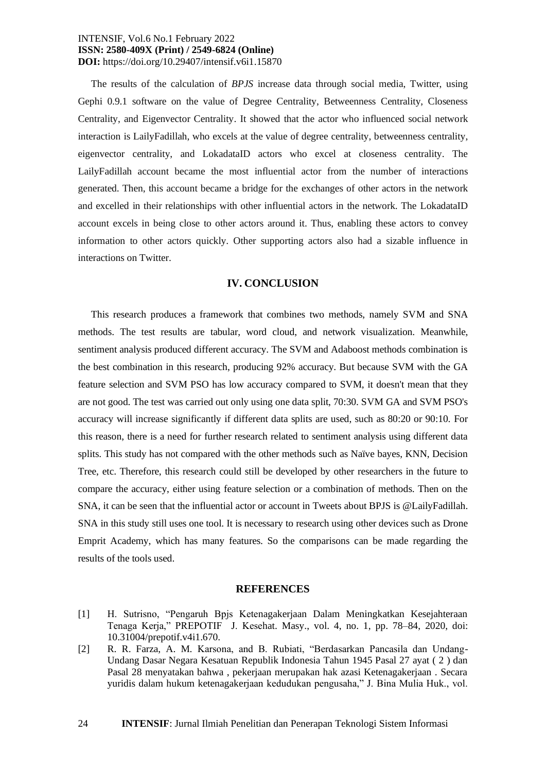The results of the calculation of *BPJS* increase data through social media, Twitter, using Gephi 0.9.1 software on the value of Degree Centrality, Betweenness Centrality, Closeness Centrality, and Eigenvector Centrality. It showed that the actor who influenced social network interaction is LailyFadillah, who excels at the value of degree centrality, betweenness centrality, eigenvector centrality, and LokadataID actors who excel at closeness centrality. The LailyFadillah account became the most influential actor from the number of interactions generated. Then, this account became a bridge for the exchanges of other actors in the network and excelled in their relationships with other influential actors in the network. The LokadataID account excels in being close to other actors around it. Thus, enabling these actors to convey information to other actors quickly. Other supporting actors also had a sizable influence in interactions on Twitter.

#### **IV. CONCLUSION**

This research produces a framework that combines two methods, namely SVM and SNA methods. The test results are tabular, word cloud, and network visualization. Meanwhile, sentiment analysis produced different accuracy. The SVM and Adaboost methods combination is the best combination in this research, producing 92% accuracy. But because SVM with the GA feature selection and SVM PSO has low accuracy compared to SVM, it doesn't mean that they are not good. The test was carried out only using one data split, 70:30. SVM GA and SVM PSO's accuracy will increase significantly if different data splits are used, such as 80:20 or 90:10. For this reason, there is a need for further research related to sentiment analysis using different data splits. This study has not compared with the other methods such as Naïve bayes, KNN, Decision Tree, etc. Therefore, this research could still be developed by other researchers in the future to compare the accuracy, either using feature selection or a combination of methods. Then on the SNA, it can be seen that the influential actor or account in Tweets about BPJS is @LailyFadillah. SNA in this study still uses one tool. It is necessary to research using other devices such as Drone Emprit Academy, which has many features. So the comparisons can be made regarding the results of the tools used.

#### **REFERENCES**

- [1] H. Sutrisno, "Pengaruh Bpjs Ketenagakerjaan Dalam Meningkatkan Kesejahteraan Tenaga Kerja," PREPOTIF J. Kesehat. Masy., vol. 4, no. 1, pp. 78–84, 2020, doi: 10.31004/prepotif.v4i1.670.
- [2] R. R. Farza, A. M. Karsona, and B. Rubiati, "Berdasarkan Pancasila dan Undang-Undang Dasar Negara Kesatuan Republik Indonesia Tahun 1945 Pasal 27 ayat ( 2 ) dan Pasal 28 menyatakan bahwa , pekerjaan merupakan hak azasi Ketenagakerjaan . Secara yuridis dalam hukum ketenagakerjaan kedudukan pengusaha," J. Bina Mulia Huk., vol.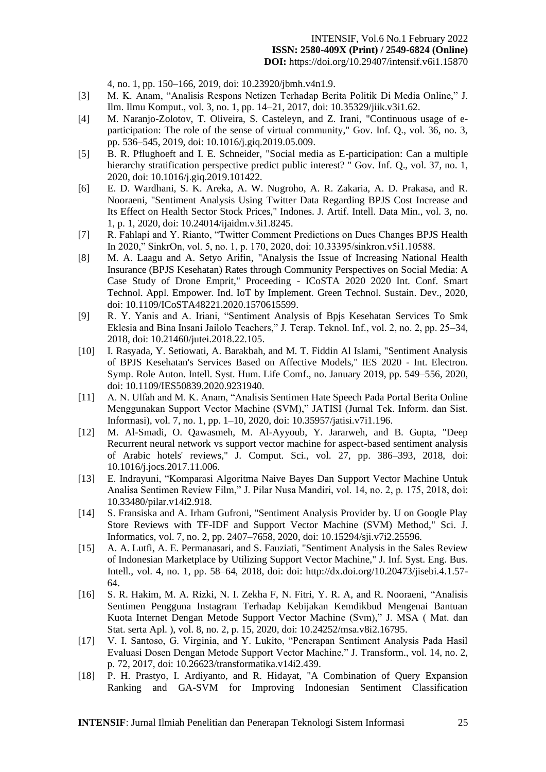4, no. 1, pp. 150–166, 2019, doi: 10.23920/jbmh.v4n1.9.

- [3] M. K. Anam, "Analisis Respons Netizen Terhadap Berita Politik Di Media Online," J. Ilm. Ilmu Komput., vol. 3, no. 1, pp. 14–21, 2017, doi: 10.35329/jiik.v3i1.62.
- [4] M. Naranjo-Zolotov, T. Oliveira, S. Casteleyn, and Z. Irani, "Continuous usage of eparticipation: The role of the sense of virtual community," Gov. Inf. Q., vol. 36, no. 3, pp. 536–545, 2019, doi: 10.1016/j.giq.2019.05.009.
- [5] B. R. Pflughoeft and I. E. Schneider, "Social media as E-participation: Can a multiple hierarchy stratification perspective predict public interest? " Gov. Inf. Q., vol. 37, no. 1, 2020, doi: 10.1016/j.giq.2019.101422.
- [6] E. D. Wardhani, S. K. Areka, A. W. Nugroho, A. R. Zakaria, A. D. Prakasa, and R. Nooraeni, "Sentiment Analysis Using Twitter Data Regarding BPJS Cost Increase and Its Effect on Health Sector Stock Prices," Indones. J. Artif. Intell. Data Min., vol. 3, no. 1, p. 1, 2020, doi: 10.24014/ijaidm.v3i1.8245.
- [7] R. Fahlapi and Y. Rianto, "Twitter Comment Predictions on Dues Changes BPJS Health In 2020," SinkrOn, vol. 5, no. 1, p. 170, 2020, doi: 10.33395/sinkron.v5i1.10588.
- [8] M. A. Laagu and A. Setyo Arifin, "Analysis the Issue of Increasing National Health Insurance (BPJS Kesehatan) Rates through Community Perspectives on Social Media: A Case Study of Drone Emprit," Proceeding - ICoSTA 2020 2020 Int. Conf. Smart Technol. Appl. Empower. Ind. IoT by Implement. Green Technol. Sustain. Dev., 2020, doi: 10.1109/ICoSTA48221.2020.1570615599.
- [9] R. Y. Yanis and A. Iriani, "Sentiment Analysis of Bpjs Kesehatan Services To Smk Eklesia and Bina Insani Jailolo Teachers," J. Terap. Teknol. Inf., vol. 2, no. 2, pp. 25–34, 2018, doi: 10.21460/jutei.2018.22.105.
- [10] I. Rasyada, Y. Setiowati, A. Barakbah, and M. T. Fiddin Al Islami, "Sentiment Analysis of BPJS Kesehatan's Services Based on Affective Models," IES 2020 - Int. Electron. Symp. Role Auton. Intell. Syst. Hum. Life Comf., no. January 2019, pp. 549–556, 2020, doi: 10.1109/IES50839.2020.9231940.
- [11] A. N. Ulfah and M. K. Anam, "Analisis Sentimen Hate Speech Pada Portal Berita Online Menggunakan Support Vector Machine (SVM)," JATISI (Jurnal Tek. Inform. dan Sist. Informasi), vol. 7, no. 1, pp. 1–10, 2020, doi: 10.35957/jatisi.v7i1.196.
- [12] M. Al-Smadi, O. Qawasmeh, M. Al-Ayyoub, Y. Jararweh, and B. Gupta, "Deep Recurrent neural network vs support vector machine for aspect-based sentiment analysis of Arabic hotels' reviews," J. Comput. Sci., vol. 27, pp. 386–393, 2018, doi: 10.1016/j.jocs.2017.11.006.
- [13] E. Indrayuni, "Komparasi Algoritma Naive Bayes Dan Support Vector Machine Untuk Analisa Sentimen Review Film," J. Pilar Nusa Mandiri, vol. 14, no. 2, p. 175, 2018, doi: 10.33480/pilar.v14i2.918.
- [14] S. Fransiska and A. Irham Gufroni, "Sentiment Analysis Provider by. U on Google Play Store Reviews with TF-IDF and Support Vector Machine (SVM) Method," Sci. J. Informatics, vol. 7, no. 2, pp. 2407–7658, 2020, doi: 10.15294/sji.v7i2.25596.
- [15] A. A. Lutfi, A. E. Permanasari, and S. Fauziati, "Sentiment Analysis in the Sales Review of Indonesian Marketplace by Utilizing Support Vector Machine," J. Inf. Syst. Eng. Bus. Intell., vol. 4, no. 1, pp. 58–64, 2018, doi: doi: http://dx.doi.org/10.20473/jisebi.4.1.57- 64.
- [16] S. R. Hakim, M. A. Rizki, N. I. Zekha F, N. Fitri, Y. R. A, and R. Nooraeni, "Analisis Sentimen Pengguna Instagram Terhadap Kebijakan Kemdikbud Mengenai Bantuan Kuota Internet Dengan Metode Support Vector Machine (Svm)," J. MSA ( Mat. dan Stat. serta Apl. ), vol. 8, no. 2, p. 15, 2020, doi: 10.24252/msa.v8i2.16795.
- [17] V. I. Santoso, G. Virginia, and Y. Lukito, "Penerapan Sentiment Analysis Pada Hasil Evaluasi Dosen Dengan Metode Support Vector Machine," J. Transform., vol. 14, no. 2, p. 72, 2017, doi: 10.26623/transformatika.v14i2.439.
- [18] P. H. Prastyo, I. Ardiyanto, and R. Hidayat, "A Combination of Query Expansion Ranking and GA-SVM for Improving Indonesian Sentiment Classification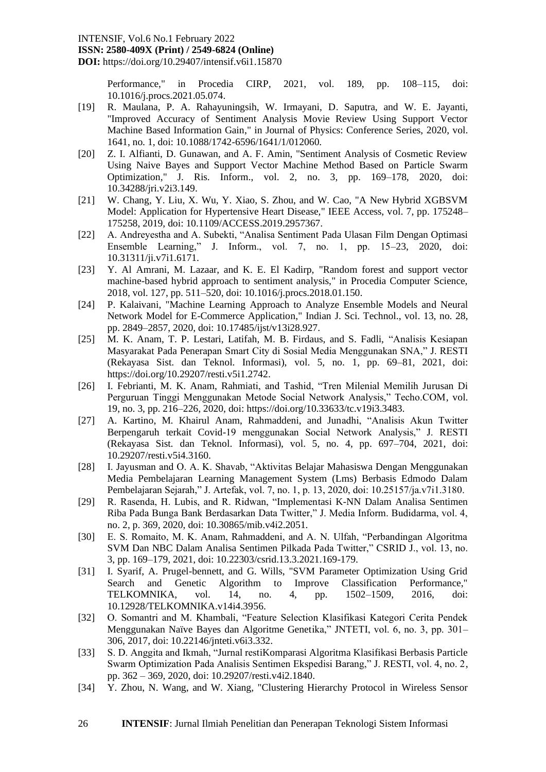#### INTENSIF, Vol.6 No.1 February 2022

**ISSN: 2580-409X (Print) / 2549-6824 (Online)**

**DOI:** https://doi.org/10.29407/intensif.v6i1.15870

Performance," in Procedia CIRP, 2021, vol. 189, pp. 108–115, doi: 10.1016/j.procs.2021.05.074.

- [19] R. Maulana, P. A. Rahayuningsih, W. Irmayani, D. Saputra, and W. E. Jayanti, "Improved Accuracy of Sentiment Analysis Movie Review Using Support Vector Machine Based Information Gain," in Journal of Physics: Conference Series, 2020, vol. 1641, no. 1, doi: 10.1088/1742-6596/1641/1/012060.
- [20] Z. I. Alfianti, D. Gunawan, and A. F. Amin, "Sentiment Analysis of Cosmetic Review Using Naive Bayes and Support Vector Machine Method Based on Particle Swarm Optimization," J. Ris. Inform., vol. 2, no. 3, pp. 169–178, 2020, doi: 10.34288/jri.v2i3.149.
- [21] W. Chang, Y. Liu, X. Wu, Y. Xiao, S. Zhou, and W. Cao, "A New Hybrid XGBSVM Model: Application for Hypertensive Heart Disease," IEEE Access, vol. 7, pp. 175248– 175258, 2019, doi: 10.1109/ACCESS.2019.2957367.
- [22] A. Andreyestha and A. Subekti, "Analisa Sentiment Pada Ulasan Film Dengan Optimasi Ensemble Learning," J. Inform., vol. 7, no. 1, pp. 15–23, 2020, doi: 10.31311/ji.v7i1.6171.
- [23] Y. Al Amrani, M. Lazaar, and K. E. El Kadirp, "Random forest and support vector machine-based hybrid approach to sentiment analysis," in Procedia Computer Science, 2018, vol. 127, pp. 511–520, doi: 10.1016/j.procs.2018.01.150.
- [24] P. Kalaivani, "Machine Learning Approach to Analyze Ensemble Models and Neural Network Model for E-Commerce Application," Indian J. Sci. Technol., vol. 13, no. 28, pp. 2849–2857, 2020, doi: 10.17485/ijst/v13i28.927.
- [25] M. K. Anam, T. P. Lestari, Latifah, M. B. Firdaus, and S. Fadli, "Analisis Kesiapan Masyarakat Pada Penerapan Smart City di Sosial Media Menggunakan SNA," J. RESTI (Rekayasa Sist. dan Teknol. Informasi), vol. 5, no. 1, pp. 69–81, 2021, doi: https://doi.org/10.29207/resti.v5i1.2742.
- [26] I. Febrianti, M. K. Anam, Rahmiati, and Tashid, "Tren Milenial Memilih Jurusan Di Perguruan Tinggi Menggunakan Metode Social Network Analysis," Techo.COM, vol. 19, no. 3, pp. 216–226, 2020, doi: https://doi.org/10.33633/tc.v19i3.3483.
- [27] A. Kartino, M. Khairul Anam, Rahmaddeni, and Junadhi, "Analisis Akun Twitter Berpengaruh terkait Covid-19 menggunakan Social Network Analysis," J. RESTI (Rekayasa Sist. dan Teknol. Informasi), vol. 5, no. 4, pp. 697–704, 2021, doi: 10.29207/resti.v5i4.3160.
- [28] I. Jayusman and O. A. K. Shavab, "Aktivitas Belajar Mahasiswa Dengan Menggunakan Media Pembelajaran Learning Management System (Lms) Berbasis Edmodo Dalam Pembelajaran Sejarah," J. Artefak, vol. 7, no. 1, p. 13, 2020, doi: 10.25157/ja.v7i1.3180.
- [29] R. Rasenda, H. Lubis, and R. Ridwan, "Implementasi K-NN Dalam Analisa Sentimen Riba Pada Bunga Bank Berdasarkan Data Twitter," J. Media Inform. Budidarma, vol. 4, no. 2, p. 369, 2020, doi: 10.30865/mib.v4i2.2051.
- [30] E. S. Romaito, M. K. Anam, Rahmaddeni, and A. N. Ulfah, "Perbandingan Algoritma SVM Dan NBC Dalam Analisa Sentimen Pilkada Pada Twitter," CSRID J., vol. 13, no. 3, pp. 169–179, 2021, doi: 10.22303/csrid.13.3.2021.169-179.
- [31] I. Syarif, A. Prugel-bennett, and G. Wills, "SVM Parameter Optimization Using Grid Search and Genetic Algorithm to Improve Classification Performance," TELKOMNIKA, vol. 14, no. 4, pp. 1502–1509, 2016, doi: 10.12928/TELKOMNIKA.v14i4.3956.
- [32] O. Somantri and M. Khambali, "Feature Selection Klasifikasi Kategori Cerita Pendek Menggunakan Naïve Bayes dan Algoritme Genetika," JNTETI, vol. 6, no. 3, pp. 301– 306, 2017, doi: 10.22146/jnteti.v6i3.332.
- [33] S. D. Anggita and Ikmah, "Jurnal restiKomparasi Algoritma Klasifikasi Berbasis Particle Swarm Optimization Pada Analisis Sentimen Ekspedisi Barang," J. RESTI, vol. 4, no. 2, pp. 362 – 369, 2020, doi: 10.29207/resti.v4i2.1840.
- [34] Y. Zhou, N. Wang, and W. Xiang, "Clustering Hierarchy Protocol in Wireless Sensor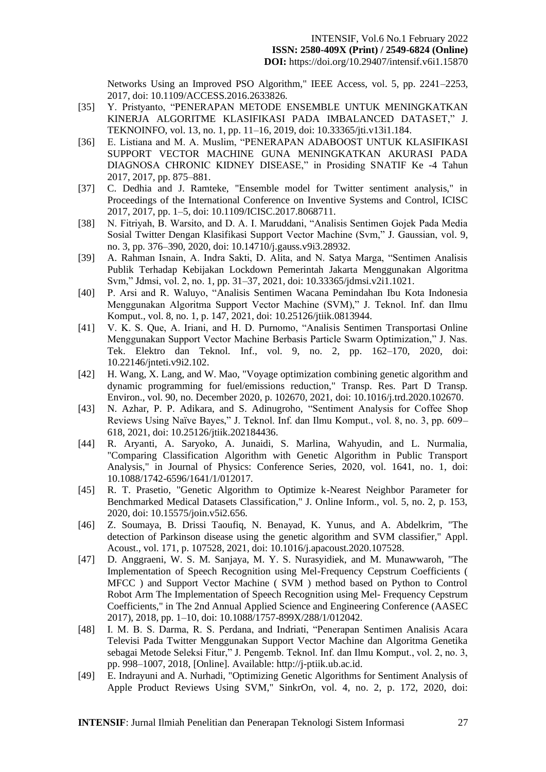Networks Using an Improved PSO Algorithm," IEEE Access, vol. 5, pp. 2241–2253, 2017, doi: 10.1109/ACCESS.2016.2633826.

- [35] Y. Pristyanto, "PENERAPAN METODE ENSEMBLE UNTUK MENINGKATKAN KINERJA ALGORITME KLASIFIKASI PADA IMBALANCED DATASET," J. TEKNOINFO, vol. 13, no. 1, pp. 11–16, 2019, doi: 10.33365/jti.v13i1.184.
- [36] E. Listiana and M. A. Muslim, "PENERAPAN ADABOOST UNTUK KLASIFIKASI SUPPORT VECTOR MACHINE GUNA MENINGKATKAN AKURASI PADA DIAGNOSA CHRONIC KIDNEY DISEASE," in Prosiding SNATIF Ke -4 Tahun 2017, 2017, pp. 875–881.
- [37] C. Dedhia and J. Ramteke, "Ensemble model for Twitter sentiment analysis," in Proceedings of the International Conference on Inventive Systems and Control, ICISC 2017, 2017, pp. 1–5, doi: 10.1109/ICISC.2017.8068711.
- [38] N. Fitriyah, B. Warsito, and D. A. I. Maruddani, "Analisis Sentimen Gojek Pada Media Sosial Twitter Dengan Klasifikasi Support Vector Machine (Svm," J. Gaussian, vol. 9, no. 3, pp. 376–390, 2020, doi: 10.14710/j.gauss.v9i3.28932.
- [39] A. Rahman Isnain, A. Indra Sakti, D. Alita, and N. Satya Marga, "Sentimen Analisis Publik Terhadap Kebijakan Lockdown Pemerintah Jakarta Menggunakan Algoritma Svm," Jdmsi, vol. 2, no. 1, pp. 31–37, 2021, doi: 10.33365/jdmsi.v2i1.1021.
- [40] P. Arsi and R. Waluyo, "Analisis Sentimen Wacana Pemindahan Ibu Kota Indonesia Menggunakan Algoritma Support Vector Machine (SVM)," J. Teknol. Inf. dan Ilmu Komput., vol. 8, no. 1, p. 147, 2021, doi: 10.25126/jtiik.0813944.
- [41] V. K. S. Que, A. Iriani, and H. D. Purnomo, "Analisis Sentimen Transportasi Online Menggunakan Support Vector Machine Berbasis Particle Swarm Optimization," J. Nas. Tek. Elektro dan Teknol. Inf., vol. 9, no. 2, pp. 162–170, 2020, doi: 10.22146/jnteti.v9i2.102.
- [42] H. Wang, X. Lang, and W. Mao, "Voyage optimization combining genetic algorithm and dynamic programming for fuel/emissions reduction," Transp. Res. Part D Transp. Environ., vol. 90, no. December 2020, p. 102670, 2021, doi: 10.1016/j.trd.2020.102670.
- [43] N. Azhar, P. P. Adikara, and S. Adinugroho, "Sentiment Analysis for Coffee Shop Reviews Using Naïve Bayes," J. Teknol. Inf. dan Ilmu Komput., vol. 8, no. 3, pp. 609– 618, 2021, doi: 10.25126/jtiik.202184436.
- [44] R. Aryanti, A. Saryoko, A. Junaidi, S. Marlina, Wahyudin, and L. Nurmalia, "Comparing Classification Algorithm with Genetic Algorithm in Public Transport Analysis," in Journal of Physics: Conference Series, 2020, vol. 1641, no. 1, doi: 10.1088/1742-6596/1641/1/012017.
- [45] R. T. Prasetio, "Genetic Algorithm to Optimize k-Nearest Neighbor Parameter for Benchmarked Medical Datasets Classification," J. Online Inform., vol. 5, no. 2, p. 153, 2020, doi: 10.15575/join.v5i2.656.
- [46] Z. Soumaya, B. Drissi Taoufiq, N. Benayad, K. Yunus, and A. Abdelkrim, "The detection of Parkinson disease using the genetic algorithm and SVM classifier," Appl. Acoust., vol. 171, p. 107528, 2021, doi: 10.1016/j.apacoust.2020.107528.
- [47] D. Anggraeni, W. S. M. Sanjaya, M. Y. S. Nurasyidiek, and M. Munawwaroh, "The Implementation of Speech Recognition using Mel-Frequency Cepstrum Coefficients ( MFCC ) and Support Vector Machine ( SVM ) method based on Python to Control Robot Arm The Implementation of Speech Recognition using Mel- Frequency Cepstrum Coefficients," in The 2nd Annual Applied Science and Engineering Conference (AASEC 2017), 2018, pp. 1–10, doi: 10.1088/1757-899X/288/1/012042.
- [48] I. M. B. S. Darma, R. S. Perdana, and Indriati, "Penerapan Sentimen Analisis Acara Televisi Pada Twitter Menggunakan Support Vector Machine dan Algoritma Genetika sebagai Metode Seleksi Fitur," J. Pengemb. Teknol. Inf. dan Ilmu Komput., vol. 2, no. 3, pp. 998–1007, 2018, [Online]. Available: http://j-ptiik.ub.ac.id.
- [49] E. Indrayuni and A. Nurhadi, "Optimizing Genetic Algorithms for Sentiment Analysis of Apple Product Reviews Using SVM," SinkrOn, vol. 4, no. 2, p. 172, 2020, doi: